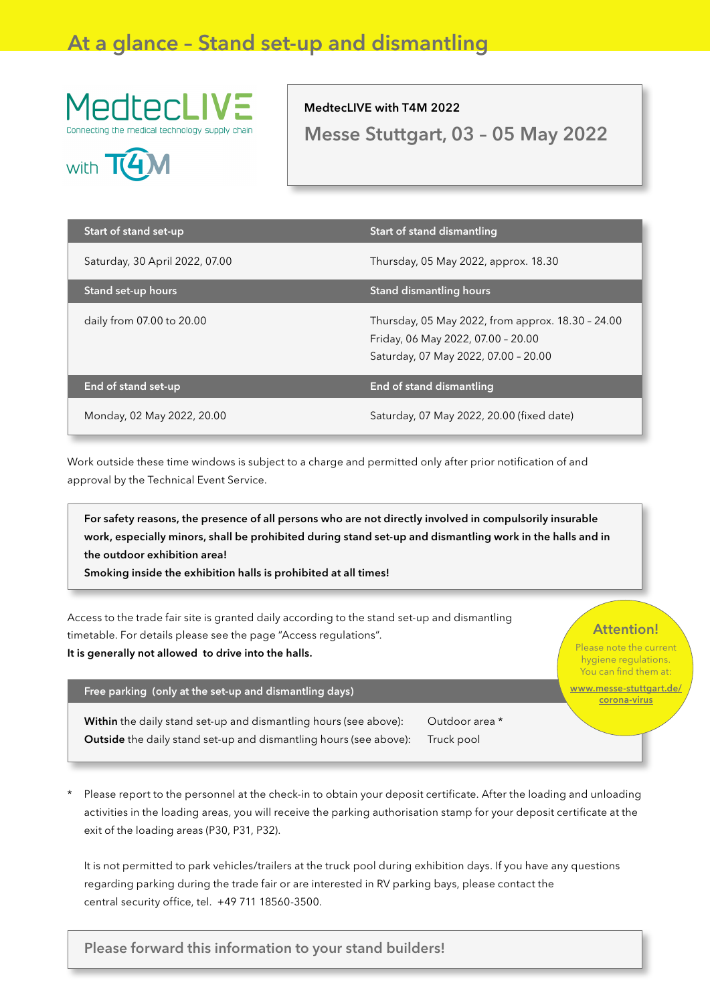# At a glance – Stand set-up and dismantling





## MedtecLIVE with T4M 2022

Messe Stuttgart, 03 – 05 May 2022

| Start of stand set-up          | <b>Start of stand dismantling</b>                                                                                               |
|--------------------------------|---------------------------------------------------------------------------------------------------------------------------------|
| Saturday, 30 April 2022, 07.00 | Thursday, 05 May 2022, approx. 18.30                                                                                            |
| Stand set-up hours             | Stand dismantling hours                                                                                                         |
| daily from 07.00 to 20.00      | Thursday, 05 May 2022, from approx. 18.30 - 24.00<br>Friday, 06 May 2022, 07.00 - 20.00<br>Saturday, 07 May 2022, 07.00 - 20.00 |
| End of stand set-up            | End of stand dismantling                                                                                                        |
| Monday, 02 May 2022, 20.00     | Saturday, 07 May 2022, 20.00 (fixed date)                                                                                       |

Work outside these time windows is subject to a charge and permitted only after prior notification of and approval by the Technical Event Service.

For safety reasons, the presence of all persons who are not directly involved in compulsorily insurable work, especially minors, shall be prohibited during stand set-up and dismantling work in the halls and in the outdoor exhibition area!

Smoking inside the exhibition halls is prohibited at all times!

Access to the trade fair site is granted daily according to the stand set-up and dismantling timetable. For details please see the page "Access regulations". It is generally not allowed to drive into the halls.

Free parking (only at the set-up and dismantling days)

Within the daily stand set-up and dismantling hours (see above): Outdoor area \* Outside the daily stand set-up and dismantling hours (see above): Truck pool

### Attention!

Please note the current hygiene regulations. You can find them at:

[www.messe-stuttgart.de/](https://www.messe-stuttgart.de/corona-virus) [corona-virus](https://www.messe-stuttgart.de/corona-virus)

Please report to the personnel at the check-in to obtain your deposit certificate. After the loading and unloading activities in the loading areas, you will receive the parking authorisation stamp for your deposit certificate at the exit of the loading areas (P30, P31, P32).

It is not permitted to park vehicles/trailers at the truck pool during exhibition days. If you have any questions regarding parking during the trade fair or are interested in RV parking bays, please contact the central security office, tel. +49 711 18560-3500.

Please forward this information to your stand builders!